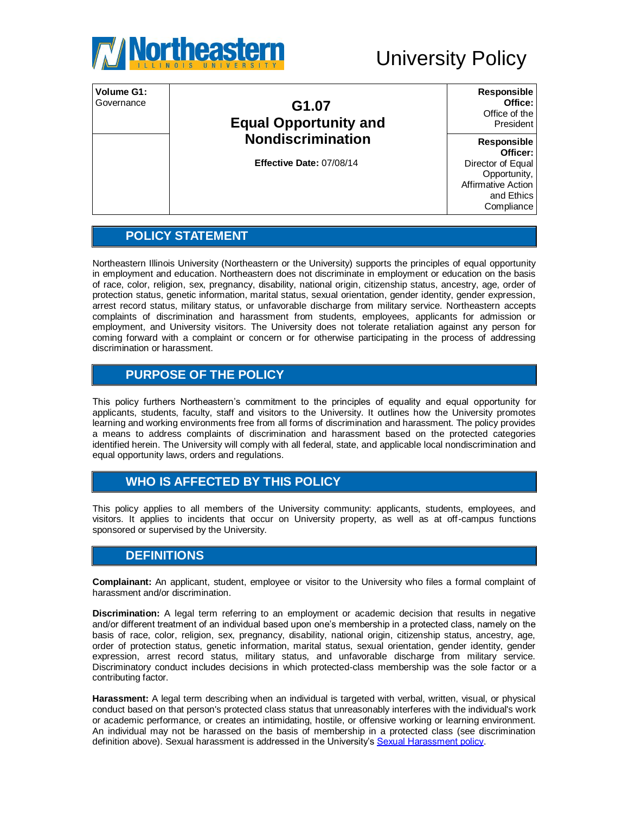

| Volume G1:<br>Governance | G1.07<br><b>Equal Opportunity and</b> | Responsible<br>Office:<br>Office of the<br>President                                |
|--------------------------|---------------------------------------|-------------------------------------------------------------------------------------|
|                          | <b>Nondiscrimination</b>              | Responsible<br>Officer:                                                             |
|                          | Effective Date: 07/08/14              | Director of Equal<br>Opportunity,<br>Affirmative Action<br>and Ethics<br>Compliance |

# **POLICY STATEMENT**

Northeastern Illinois University (Northeastern or the University) supports the principles of equal opportunity in employment and education. Northeastern does not discriminate in employment or education on the basis of race, color, religion, sex, pregnancy, disability, national origin, citizenship status, ancestry, age, order of protection status, genetic information, marital status, sexual orientation, gender identity, gender expression, arrest record status, military status, or unfavorable discharge from military service. Northeastern accepts complaints of discrimination and harassment from students, employees, applicants for admission or employment, and University visitors. The University does not tolerate retaliation against any person for coming forward with a complaint or concern or for otherwise participating in the process of addressing discrimination or harassment.

# **PURPOSE OF THE POLICY**

This policy furthers Northeastern's commitment to the principles of equality and equal opportunity for applicants, students, faculty, staff and visitors to the University. It outlines how the University promotes learning and working environments free from all forms of discrimination and harassment. The policy provides a means to address complaints of discrimination and harassment based on the protected categories identified herein. The University will comply with all federal, state, and applicable local nondiscrimination and equal opportunity laws, orders and regulations.

## **WHO IS AFFECTED BY THIS POLICY**

This policy applies to all members of the University community: applicants, students, employees, and visitors. It applies to incidents that occur on University property, as well as at off-campus functions sponsored or supervised by the University.

## **DEFINITIONS**

**Complainant:** An applicant, student, employee or visitor to the University who files a formal complaint of harassment and/or discrimination.

**Discrimination:** A legal term referring to an employment or academic decision that results in negative and/or different treatment of an individual based upon one's membership in a protected class, namely on the basis of race, color, religion, sex, pregnancy, disability, national origin, citizenship status, ancestry, age, order of protection status, genetic information, marital status, sexual orientation, gender identity, gender expression, arrest record status, military status, and unfavorable discharge from military service. Discriminatory conduct includes decisions in which protected-class membership was the sole factor or a contributing factor.

**Harassment:** A legal term describing when an individual is targeted with verbal, written, visual, or physical conduct based on that person's protected class status that unreasonably interferes with the individual's work or academic performance, or creates an intimidating, hostile, or offensive working or learning environment. An individual may not be harassed on the basis of membership in a protected class (see discrimination definition above). Sexual harassment is addressed in the University's [Sexual Harassment policy.](http://www.neiu.edu/about/sites/neiu.edu.about/files/documents/jwschiff/Pol_G1%2010_Sexual%20Harassment_2.pdf)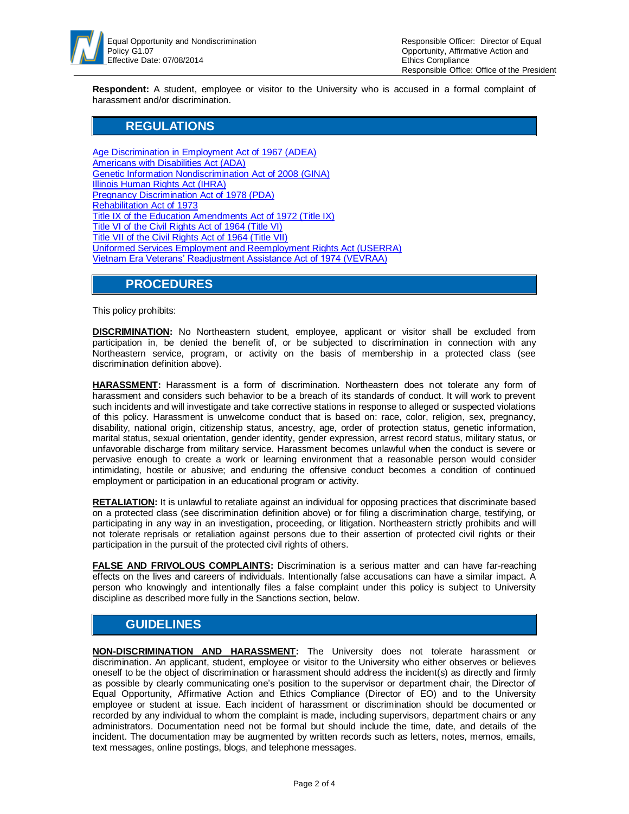

**Respondent:** A student, employee or visitor to the University who is accused in a formal complaint of harassment and/or discrimination.

#### **REGULATIONS**

Age Discrimination in Employment Act of 1967 (ADEA) [Americans with Disabilities Act \(ADA\)](http://www.ada.gov/2010_regs.htm)  [Genetic Information Nondiscrimination Act of 2008 \(GINA\)](http://www.eeoc.gov/laws/statutes/gina.cfm)  [Illinois Human Rights Act \(IHRA\)](http://www.ilga.gov/legislation/ilcs/ilcs3.asp?ActID=2266&ChapterID=64) [Pregnancy Discrimination Act of 1978 \(PDA\)](http://www.eeoc.gov/laws/statutes/pregnancy.cfm)  [Rehabilitation Act of 1973](http://www.eeoc.gov/laws/statutes/rehab.cfm)  [Title IX of the Education Amendments Act of 1972 \(Title IX\)](http://www.dol.gov/oasam/regs/statutes/titleix.htm)  [Title VI of the Civil Rights Act of 1964 \(Title VI\)](http://www.dol.gov/oasam/regs/statutes/titlevi.htm) [Title VII of the Civil Rights Act of 1964 \(Title VII\)](http://www.dol.gov/oasam/regs/statutes/2000e-16.htm)  [Uniformed Services Employment and Reemployment Rights Act \(USERRA\)](http://www.dol.gov/compliance/laws/comp-userra.htm)  [Vietnam Era Veterans' Readjustment Assistance Act of 1974 \(VEVRAA\)](http://www.dol.gov/compliance/laws/comp-vevraa.htm)

#### **PROCEDURES**

This policy prohibits:

**DISCRIMINATION:** No Northeastern student, employee, applicant or visitor shall be excluded from participation in, be denied the benefit of, or be subjected to discrimination in connection with any Northeastern service, program, or activity on the basis of membership in a protected class (see discrimination definition above).

**HARASSMENT:** Harassment is a form of discrimination. Northeastern does not tolerate any form of harassment and considers such behavior to be a breach of its standards of conduct. It will work to prevent such incidents and will investigate and take corrective stations in response to alleged or suspected violations of this policy. Harassment is unwelcome conduct that is based on: race, color, religion, sex, pregnancy, disability, national origin, citizenship status, ancestry, age, order of protection status, genetic information, marital status, sexual orientation, gender identity, gender expression, arrest record status, military status, or unfavorable discharge from military service. Harassment becomes unlawful when the conduct is severe or pervasive enough to create a work or learning environment that a reasonable person would consider intimidating, hostile or abusive; and enduring the offensive conduct becomes a condition of continued employment or participation in an educational program or activity.

**RETALIATION:** It is unlawful to retaliate against an individual for opposing practices that discriminate based on a protected class (see discrimination definition above) or for filing a discrimination charge, testifying, or participating in any way in an investigation, proceeding, or litigation. Northeastern strictly prohibits and will not tolerate reprisals or retaliation against persons due to their assertion of protected civil rights or their participation in the pursuit of the protected civil rights of others.

FALSE AND FRIVOLOUS COMPLAINTS: Discrimination is a serious matter and can have far-reaching effects on the lives and careers of individuals. Intentionally false accusations can have a similar impact. A person who knowingly and intentionally files a false complaint under this policy is subject to University discipline as described more fully in the Sanctions section, below.

## **GUIDELINES**

**NON-DISCRIMINATION AND HARASSMENT:** The University does not tolerate harassment or discrimination. An applicant, student, employee or visitor to the University who either observes or believes oneself to be the object of discrimination or harassment should address the incident(s) as directly and firmly as possible by clearly communicating one's position to the supervisor or department chair, the Director of Equal Opportunity, Affirmative Action and Ethics Compliance (Director of EO) and to the University employee or student at issue. Each incident of harassment or discrimination should be documented or recorded by any individual to whom the complaint is made, including supervisors, department chairs or any administrators. Documentation need not be formal but should include the time, date, and details of the incident. The documentation may be augmented by written records such as letters, notes, memos, emails, text messages, online postings, blogs, and telephone messages.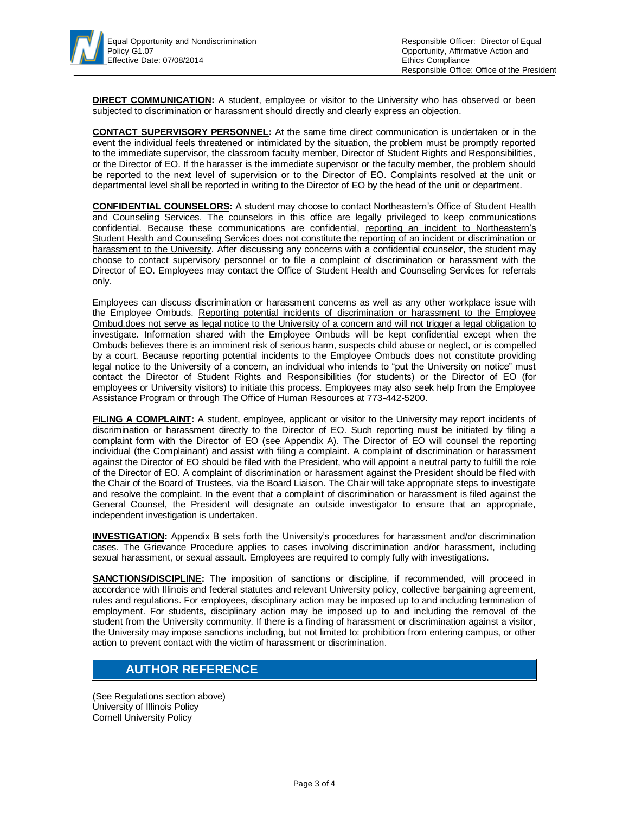**DIRECT COMMUNICATION:** A student, employee or visitor to the University who has observed or been subjected to discrimination or harassment should directly and clearly express an objection.

**CONTACT SUPERVISORY PERSONNEL:** At the same time direct communication is undertaken or in the event the individual feels threatened or intimidated by the situation, the problem must be promptly reported to the immediate supervisor, the classroom faculty member, Director of Student Rights and Responsibilities, or the Director of EO. If the harasser is the immediate supervisor or the faculty member, the problem should be reported to the next level of supervision or to the Director of EO. Complaints resolved at the unit or departmental level shall be reported in writing to the Director of EO by the head of the unit or department.

**CONFIDENTIAL COUNSELORS:** A student may choose to contact Northeastern's Office of Student Health and Counseling Services. The counselors in this office are legally privileged to keep communications confidential. Because these communications are confidential, reporting an incident to Northeastern's Student Health and Counseling Services does not constitute the reporting of an incident or discrimination or harassment to the University. After discussing any concerns with a confidential counselor, the student may choose to contact supervisory personnel or to file a complaint of discrimination or harassment with the Director of EO. Employees may contact the Office of Student Health and Counseling Services for referrals only.

Employees can discuss discrimination or harassment concerns as well as any other workplace issue with the Employee Ombuds. Reporting potential incidents of discrimination or harassment to the Employee Ombud.does not serve as legal notice to the University of a concern and will not trigger a legal obligation to investigate. Information shared with the Employee Ombuds will be kept confidential except when the Ombuds believes there is an imminent risk of serious harm, suspects child abuse or neglect, or is compelled by a court. Because reporting potential incidents to the Employee Ombuds does not constitute providing legal notice to the University of a concern, an individual who intends to "put the University on notice" must contact the Director of Student Rights and Responsibilities (for students) or the Director of EO (for employees or University visitors) to initiate this process. Employees may also seek help from the Employee Assistance Program or through The Office of Human Resources at 773-442-5200.

**FILING A COMPLAINT:** A student, employee, applicant or visitor to the University may report incidents of discrimination or harassment directly to the Director of EO. Such reporting must be initiated by filing a complaint form with the Director of EO (see Appendix A). The Director of EO will counsel the reporting individual (the Complainant) and assist with filing a complaint. A complaint of discrimination or harassment against the Director of EO should be filed with the President, who will appoint a neutral party to fulfill the role of the Director of EO. A complaint of discrimination or harassment against the President should be filed with the Chair of the Board of Trustees, via the Board Liaison. The Chair will take appropriate steps to investigate and resolve the complaint. In the event that a complaint of discrimination or harassment is filed against the General Counsel, the President will designate an outside investigator to ensure that an appropriate, independent investigation is undertaken.

**INVESTIGATION:** Appendix B sets forth the University's procedures for harassment and/or discrimination cases. The Grievance Procedure applies to cases involving discrimination and/or harassment, including sexual harassment, or sexual assault. Employees are required to comply fully with investigations.

**SANCTIONS/DISCIPLINE:** The imposition of sanctions or discipline, if recommended, will proceed in accordance with Illinois and federal statutes and relevant University policy, collective bargaining agreement, rules and regulations. For employees, disciplinary action may be imposed up to and including termination of employment. For students, disciplinary action may be imposed up to and including the removal of the student from the University community. If there is a finding of harassment or discrimination against a visitor, the University may impose sanctions including, but not limited to: prohibition from entering campus, or other action to prevent contact with the victim of harassment or discrimination.

## **AUTHOR REFERENCE**

(See Regulations section above) University of Illinois Policy Cornell University Policy